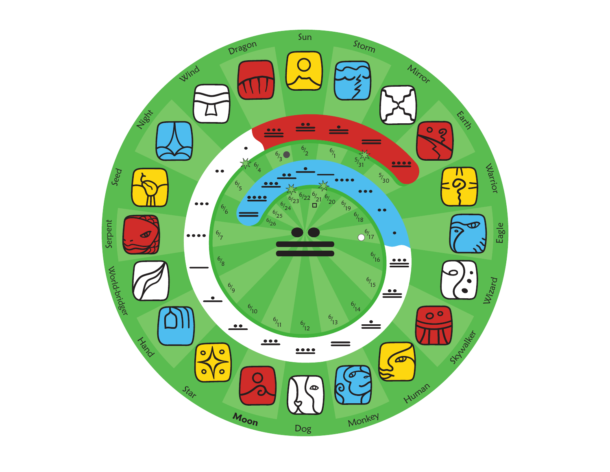